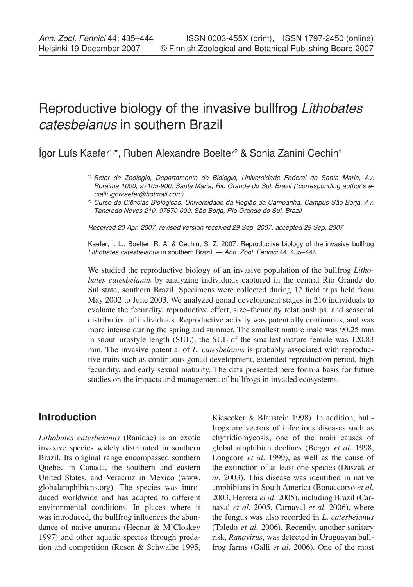# Reproductive biology of the invasive bullfrog *Lithobates catesbeianus* in southern Brazil

lgor Luís Kaefer<sup>1,\*</sup>, Ruben Alexandre Boelter<sup>2</sup> & Sonia Zanini Cechin<sup>1</sup>

*Received 20 Apr. 2007, revised version received 29 Sep. 2007, accepted 29 Sep. 2007*

Kaefer, Í. L., Boelter, R. A. & Cechin, S. Z. 2007: Reproductive biology of the invasive bullfrog *Lithobates catesbeianus* in southern Brazil. — *Ann. Zool. Fennici* 44: 435–444.

We studied the reproductive biology of an invasive population of the bullfrog *Lithobates catesbeianus* by analyzing individuals captured in the central Rio Grande do Sul state, southern Brazil. Specimens were collected during 12 field trips held from May 2002 to June 2003. We analyzed gonad development stages in 216 individuals to evaluate the fecundity, reproductive effort, size–fecundity relationships, and seasonal distribution of individuals. Reproductive activity was potentially continuous, and was more intense during the spring and summer. The smallest mature male was 90.25 mm in snout–urostyle length (SUL); the SUL of the smallest mature female was 120.83 mm. The invasive potential of *L. catesbeianus* is probably associated with reproductive traits such as continuous gonad development, extended reproduction period, high fecundity, and early sexual maturity. The data presented here form a basis for future studies on the impacts and management of bullfrogs in invaded ecosystems.

## **Introduction**

*Lithobates catesbeianus* (Ranidae) is an exotic invasive species widely distributed in southern Brazil. Its original range encompassed southern Quebec in Canada, the southern and eastern United States, and Veracruz in Mexico (www. globalamphibians.org). The species was introduced worldwide and has adapted to different environmental conditions. In places where it was introduced, the bullfrog influences the abundance of native anurans (Hecnar & M'Closkey 1997) and other aquatic species through predation and competition (Rosen & Schwalbe 1995, Kiesecker & Blaustein 1998). In addition, bullfrogs are vectors of infectious diseases such as chytridiomycosis, one of the main causes of global amphibian declines (Berger *et al.* 1998, Longcore *et al.* 1999), as well as the cause of the extinction of at least one species (Daszak *et al.* 2003). This disease was identified in native amphibians in South America (Bonaccorso *et al.* 2003, Herrera *et al.* 2005), including Brazil (Carnaval *et al.* 2005, Carnaval *et al.* 2006), where the fungus was also recorded in *L. catesbeianus* (Toledo *et al.* 2006). Recently, another sanitary risk, *Ranavirus*, was detected in Uruguayan bullfrog farms (Galli *et al.* 2006). One of the most

<sup>1)</sup> *Setor de Zoologia, Departamento de Biologia, Universidade Federal de Santa Maria, Av. Roraima 1000, 97105-900, Santa Maria, Rio Grande do Sul, Brazil (\*corresponding author's email: igorkaefer@hotmail.com)*

<sup>2)</sup> *Curso de Ciências Biológicas, Universidade da Região da Campanha, Campus São Borja, Av. Tancredo Neves 210, 97670-000, São Borja, Rio Grande do Sul, Brazil*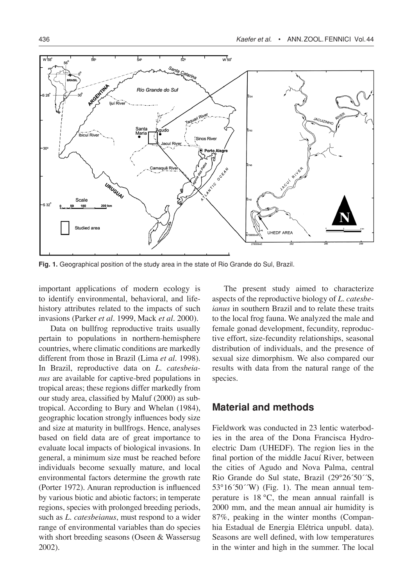

**Fig. 1.** Geographical position of the study area in the state of Rio Grande do Sul, Brazil.

important applications of modern ecology is to identify environmental, behavioral, and lifehistory attributes related to the impacts of such invasions (Parker *et al.* 1999, Mack *et al.* 2000).

Data on bullfrog reproductive traits usually pertain to populations in northern-hemisphere countries, where climatic conditions are markedly different from those in Brazil (Lima *et al.* 1998). In Brazil, reproductive data on *L. catesbeianus* are available for captive-bred populations in tropical areas; these regions differ markedly from our study area, classified by Maluf (2000) as subtropical. According to Bury and Whelan (1984), geographic location strongly influences body size and size at maturity in bullfrogs. Hence, analyses based on field data are of great importance to evaluate local impacts of biological invasions. In general, a minimum size must be reached before individuals become sexually mature, and local environmental factors determine the growth rate (Porter 1972). Anuran reproduction is influenced by various biotic and abiotic factors; in temperate regions, species with prolonged breeding periods, such as *L. catesbeianus*, must respond to a wider range of environmental variables than do species with short breeding seasons (Oseen & Wassersug 2002).

The present study aimed to characterize aspects of the reproductive biology of *L. catesbeianus* in southern Brazil and to relate these traits to the local frog fauna. We analyzed the male and female gonad development, fecundity, reproductive effort, size-fecundity relationships, seasonal distribution of individuals, and the presence of sexual size dimorphism. We also compared our results with data from the natural range of the species.

## **Material and methods**

Fieldwork was conducted in 23 lentic waterbodies in the area of the Dona Francisca Hydroelectric Dam (UHEDF). The region lies in the final portion of the middle Jacuí River, between the cities of Agudo and Nova Palma, central Rio Grande do Sul state, Brazil (29°26´50´´S,  $53^{\circ}16'50'$ <sup>'</sup>W) (Fig. 1). The mean annual temperature is 18 °C, the mean annual rainfall is 2000 mm, and the mean annual air humidity is 87%, peaking in the winter months (Companhia Estadual de Energia Elétrica unpubl. data). Seasons are well defined, with low temperatures in the winter and high in the summer. The local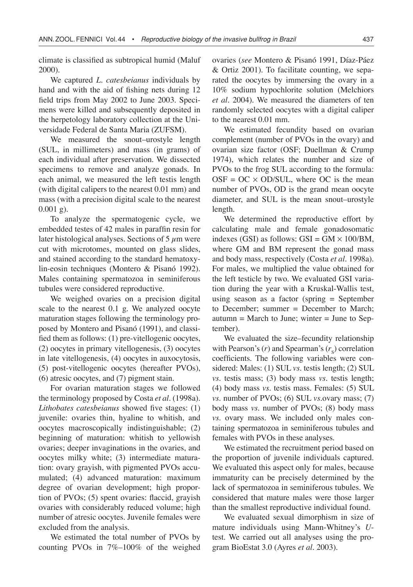climate is classified as subtropical humid (Maluf 2000).

We captured *L. catesbeianus* individuals by hand and with the aid of fishing nets during 12 field trips from May 2002 to June 2003. Specimens were killed and subsequently deposited in the herpetology laboratory collection at the Universidade Federal de Santa Maria (ZUFSM).

We measured the snout–urostyle length (SUL, in millimeters) and mass (in grams) of each individual after preservation. We dissected specimens to remove and analyze gonads. In each animal, we measured the left testis length (with digital calipers to the nearest 0.01 mm) and mass (with a precision digital scale to the nearest  $0.001 \text{ g}$ ).

To analyze the spermatogenic cycle, we embedded testes of 42 males in paraffin resin for later histological analyses. Sections of 5  $\mu$ m were cut with microtomes, mounted on glass slides, and stained according to the standard hematoxylin-eosin techniques (Montero & Pisanó 1992). Males containing spermatozoa in seminiferous tubules were considered reproductive.

We weighed ovaries on a precision digital scale to the nearest 0.1 g. We analyzed oocyte maturation stages following the terminology proposed by Montero and Pisanó (1991), and classified them as follows: (1) pre-vitellogenic oocytes, (2) oocytes in primary vitellogenesis, (3) oocytes in late vitellogenesis, (4) oocytes in auxocytosis, (5) post-vitellogenic oocytes (hereafter PVOs), (6) atresic oocytes, and (7) pigment stain.

For ovarian maturation stages we followed the terminology proposed by Costa *et al.* (1998a). *Lithobates catesbeianus* showed five stages: (1) juvenile: ovaries thin, hyaline to whitish, and oocytes macroscopically indistinguishable; (2) beginning of maturation: whitish to yellowish ovaries; deeper invaginations in the ovaries, and oocytes milky white; (3) intermediate maturation: ovary grayish, with pigmented PVOs accumulated; (4) advanced maturation: maximum degree of ovarian development; high proportion of PVOs; (5) spent ovaries: flaccid, grayish ovaries with considerably reduced volume; high number of atresic oocytes. Juvenile females were excluded from the analysis.

We estimated the total number of PVOs by counting PVOs in 7%–100% of the weighed ovaries (*see* Montero & Pisanó 1991, Díaz-Páez & Ortiz 2001). To facilitate counting, we separated the oocytes by immersing the ovary in a 10% sodium hypochlorite solution (Melchiors *et al.* 2004). We measured the diameters of ten randomly selected oocytes with a digital caliper to the nearest 0.01 mm.

We estimated fecundity based on ovarian complement (number of PVOs in the ovary) and ovarian size factor (OSF; Duellman & Crump 1974), which relates the number and size of PVOs to the frog SUL according to the formula:  $OSF = OC \times OD/SUL$ , where OC is the mean number of PVOs, OD is the grand mean oocyte diameter, and SUL is the mean snout–urostyle length.

We determined the reproductive effort by calculating male and female gonadosomatic indexes (GSI) as follows:  $GSI = GM \times 100/BM$ , where GM and BM represent the gonad mass and body mass, respectively (Costa *et al.* 1998a). For males, we multiplied the value obtained for the left testicle by two. We evaluated GSI variation during the year with a Kruskal-Wallis test, using season as a factor (spring = September to December; summer = December to March;  $autumn = March to June; winter = June to Sep$ tember).

We evaluated the size–fecundity relationship with Pearson's  $(r)$  and Spearman's  $(r<sub>s</sub>)$  correlation coefficients. The following variables were considered: Males: (1) SUL *vs*. testis length; (2) SUL *vs*. testis mass; (3) body mass *vs*. testis length; (4) body mass *vs*. testis mass. Females: (5) SUL *vs*. number of PVOs; (6) SUL *vs*.ovary mass; (7) body mass *vs*. number of PVOs; (8) body mass *vs*. ovary mass. We included only males containing spermatozoa in seminiferous tubules and females with PVOs in these analyses.

We estimated the recruitment period based on the proportion of juvenile individuals captured. We evaluated this aspect only for males, because immaturity can be precisely determined by the lack of spermatozoa in seminiferous tubules. We considered that mature males were those larger than the smallest reproductive individual found.

We evaluated sexual dimorphism in size of mature individuals using Mann-Whitney's *U*test. We carried out all analyses using the program BioEstat 3.0 (Ayres *et al.* 2003).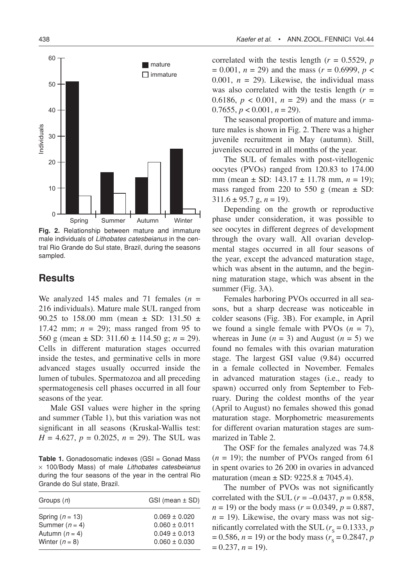

**Fig. 2.** Relationship between mature and immature male individuals of *Lithobates catesbeianus* in the central Rio Grande do Sul state, Brazil, during the seasons sampled.

### **Results**

We analyzed 145 males and 71 females (*n* = 216 individuals). Mature male SUL ranged from 90.25 to 158.00 mm (mean ± SD: 131.50 ± 17.42 mm;  $n = 29$ ; mass ranged from 95 to 560 g (mean ± SD: 311.60 ± 114.50 g; *n* = 29). Cells in different maturation stages occurred inside the testes, and germinative cells in more advanced stages usually occurred inside the lumen of tubules. Spermatozoa and all preceding spermatogenesis cell phases occurred in all four seasons of the year.

Male GSI values were higher in the spring and summer (Table 1), but this variation was not significant in all seasons (Kruskal-Wallis test:  $H = 4.627$ ,  $p = 0.2025$ ,  $n = 29$ ). The SUL was

**Table 1.** Gonadosomatic indexes (GSI = Gonad Mass ¥ 100/Body Mass) of male *Lithobates catesbeianus*  during the four seasons of the year in the central Rio Grande do Sul state, Brazil.

| Groups $(n)$      | $GSI$ (mean $\pm$ SD) |  |
|-------------------|-----------------------|--|
| Spring $(n = 13)$ | $0.069 \pm 0.020$     |  |
| Summer $(n = 4)$  | $0.060 \pm 0.011$     |  |
| Autumn $(n = 4)$  | $0.049 \pm 0.013$     |  |
| Winter $(n = 8)$  | $0.060 \pm 0.030$     |  |

correlated with the testis length  $(r = 0.5529, p)$  $= 0.001$ ,  $n = 29$ ) and the mass ( $r = 0.6999$ ,  $p <$ 0.001,  $n = 29$ ). Likewise, the individual mass was also correlated with the testis length  $(r =$ 0.6186,  $p < 0.001$ ,  $n = 29$ ) and the mass ( $r =$ 0.7655,  $p < 0.001$ ,  $n = 29$ ).

The seasonal proportion of mature and immature males is shown in Fig. 2. There was a higher juvenile recruitment in May (autumn). Still, juveniles occurred in all months of the year.

The SUL of females with post-vitellogenic oocytes (PVOs) ranged from 120.83 to 174.00 mm (mean ± SD: 143.17 ± 11.78 mm, *n* = 19); mass ranged from 220 to 550 g (mean  $\pm$  SD:  $311.6 \pm 95.7$  g,  $n = 19$ ).

Depending on the growth or reproductive phase under consideration, it was possible to see oocytes in different degrees of development through the ovary wall. All ovarian developmental stages occurred in all four seasons of the year, except the advanced maturation stage, which was absent in the autumn, and the beginning maturation stage, which was absent in the summer (Fig. 3A).

Females harboring PVOs occurred in all seasons, but a sharp decrease was noticeable in colder seasons (Fig. 3B). For example, in April we found a single female with PVOs  $(n = 7)$ , whereas in June  $(n = 3)$  and August  $(n = 5)$  we found no females with this ovarian maturation stage. The largest GSI value (9.84) occurred in a female collected in November. Females in advanced maturation stages (i.e., ready to spawn) occurred only from September to February. During the coldest months of the year (April to August) no females showed this gonad maturation stage. Morphometric measurements for different ovarian maturation stages are summarized in Table 2.

The OSF for the females analyzed was 74.8  $(n = 19)$ ; the number of PVOs ranged from 61 in spent ovaries to 26 200 in ovaries in advanced maturation (mean  $\pm$  SD: 9225.8  $\pm$  7045.4).

The number of PVOs was not significantly correlated with the SUL ( $r = -0.0437$ ,  $p = 0.858$ ,  $n = 19$ ) or the body mass ( $r = 0.0349$ ,  $p = 0.887$ ,  $n = 19$ ). Likewise, the ovary mass was not significantly correlated with the SUL ( $r_s = 0.1333$ , *p*  $(0.586, n = 19)$  or the body mass ( $r_s = 0.2847, p$  $= 0.237, n = 19.$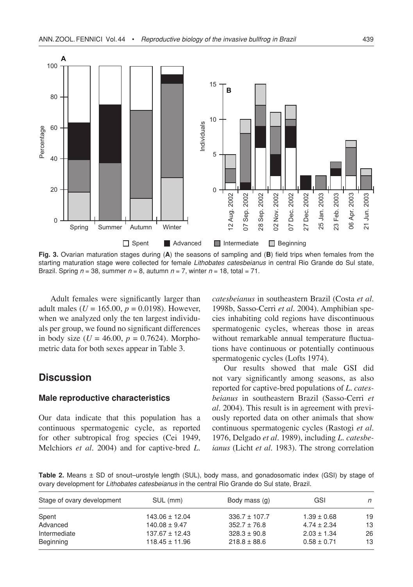

**Fig. 3.** Ovarian maturation stages during (**A**) the seasons of sampling and (**B**) field trips when females from the starting maturation stage were collected for female *Lithobates catesbeianus* in central Rio Grande do Sul state, Brazil. Spring  $n = 38$ , summer  $n = 8$ , autumn  $n = 7$ , winter  $n = 18$ , total = 71.

Adult females were significantly larger than adult males ( $U = 165.00$ ,  $p = 0.0198$ ). However, when we analyzed only the ten largest individuals per group, we found no significant differences in body size ( $U = 46.00$ ,  $p = 0.7624$ ). Morphometric data for both sexes appear in Table 3.

### **Discussion**

#### **Male reproductive characteristics**

Our data indicate that this population has a continuous spermatogenic cycle, as reported for other subtropical frog species (Cei 1949, Melchiors *et al.* 2004) and for captive-bred *L.* 

*catesbeianus* in southeastern Brazil (Costa *et al.* 1998b, Sasso-Cerri *et al.* 2004). Amphibian species inhabiting cold regions have discontinuous spermatogenic cycles, whereas those in areas without remarkable annual temperature fluctuations have continuous or potentially continuous spermatogenic cycles (Lofts 1974).

Our results showed that male GSI did not vary significantly among seasons, as also reported for captive-bred populations of *L. catesbeianus* in southeastern Brazil (Sasso-Cerri *et al.* 2004). This result is in agreement with previously reported data on other animals that show continuous spermatogenic cycles (Rastogi *et al.* 1976, Delgado *et al.* 1989), including *L. catesbeianus* (Licht *et al.* 1983). The strong correlation

**Table 2.** Means ± SD of snout–urostyle length (SUL), body mass, and gonadosomatic index (GSI) by stage of ovary development for *Lithobates catesbeianus* in the central Rio Grande do Sul state, Brazil.

| Stage of ovary development | SUL (mm)           | Body mass (g)     | GSI             | n  |
|----------------------------|--------------------|-------------------|-----------------|----|
| Spent                      | $143.06 \pm 12.04$ | $336.7 \pm 107.7$ | $1.39 \pm 0.68$ | 19 |
| Advanced                   | $140.08 \pm 9.47$  | $352.7 \pm 76.8$  | $4.74 \pm 2.34$ | 13 |
| Intermediate               | $137.67 \pm 12.43$ | $328.3 \pm 90.8$  | $2.03 \pm 1.34$ | 26 |
| Beginning                  | $118.45 \pm 11.96$ | $218.8 \pm 88.6$  | $0.58 \pm 0.71$ | 13 |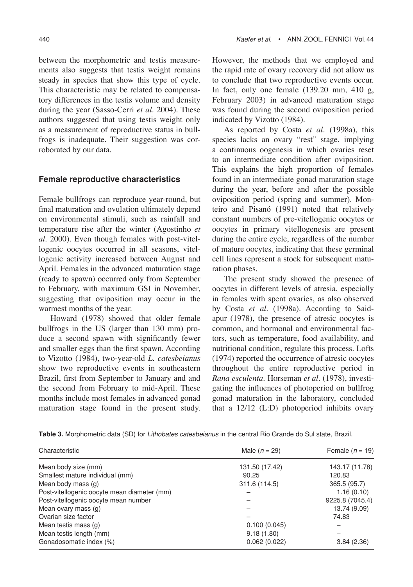between the morphometric and testis measurements also suggests that testis weight remains steady in species that show this type of cycle. This characteristic may be related to compensatory differences in the testis volume and density during the year (Sasso-Cerri *et al.* 2004). These authors suggested that using testis weight only as a measurement of reproductive status in bullfrogs is inadequate. Their suggestion was corroborated by our data.

#### **Female reproductive characteristics**

Female bullfrogs can reproduce year-round, but final maturation and ovulation ultimately depend on environmental stimuli, such as rainfall and temperature rise after the winter (Agostinho *et al.* 2000). Even though females with post-vitellogenic oocytes occurred in all seasons, vitellogenic activity increased between August and April. Females in the advanced maturation stage (ready to spawn) occurred only from September to February, with maximum GSI in November, suggesting that oviposition may occur in the warmest months of the year.

Howard (1978) showed that older female bullfrogs in the US (larger than 130 mm) produce a second spawn with significantly fewer and smaller eggs than the first spawn. According to Vizotto (1984), two-year-old *L. catesbeianus* show two reproductive events in southeastern Brazil, first from September to January and and the second from February to mid-April. These months include most females in advanced gonad maturation stage found in the present study.

However, the methods that we employed and the rapid rate of ovary recovery did not allow us to conclude that two reproductive events occur. In fact, only one female  $(139.20 \text{ mm}, 410 \text{ g})$ , February 2003) in advanced maturation stage was found during the second oviposition period indicated by Vizotto (1984).

As reported by Costa *et al.* (1998a), this species lacks an ovary "rest" stage, implying a continuous oogenesis in which ovaries reset to an intermediate condition after oviposition. This explains the high proportion of females found in an intermediate gonad maturation stage during the year, before and after the possible oviposition period (spring and summer). Monteiro and Pisanó (1991) noted that relatively constant numbers of pre-vitellogenic oocytes or oocytes in primary vitellogenesis are present during the entire cycle, regardless of the number of mature oocytes, indicating that these germinal cell lines represent a stock for subsequent maturation phases.

The present study showed the presence of oocytes in different levels of atresia, especially in females with spent ovaries, as also observed by Costa *et al.* (1998a). According to Saidapur (1978), the presence of atresic oocytes is common, and hormonal and environmental factors, such as temperature, food availability, and nutritional condition, regulate this process. Lofts (1974) reported the occurrence of atresic oocytes throughout the entire reproductive period in *Rana esculenta*. Horseman *et al.* (1978), investigating the influences of photoperiod on bullfrog gonad maturation in the laboratory, concluded that a 12/12 (L:D) photoperiod inhibits ovary

| Table 3. Morphometric data (SD) for <i>Lithobates catesbeianus</i> in the central Rio Grande do Sul state, Brazil. |  |  |  |
|--------------------------------------------------------------------------------------------------------------------|--|--|--|
|--------------------------------------------------------------------------------------------------------------------|--|--|--|

| Characteristic                              | Male $(n = 29)$ | Female $(n = 19)$ |
|---------------------------------------------|-----------------|-------------------|
| Mean body size (mm)                         | 131.50 (17.42)  | 143.17 (11.78)    |
| Smallest mature individual (mm)             | 90.25           | 120.83            |
| Mean body mass (g)                          | 311.6 (114.5)   | 365.5 (95.7)      |
| Post-vitellogenic oocyte mean diameter (mm) |                 | 1.16(0.10)        |
| Post-vitellogenic oocyte mean number        |                 | 9225.8 (7045.4)   |
| Mean ovary mass (g)                         |                 | 13.74 (9.09)      |
| Ovarian size factor                         |                 | 74.83             |
| Mean testis mass (g)                        | 0.100(0.045)    |                   |
| Mean testis length (mm)                     | 9.18(1.80)      |                   |
| Gonadosomatic index (%)                     | 0.062(0.022)    | 3.84(2.36)        |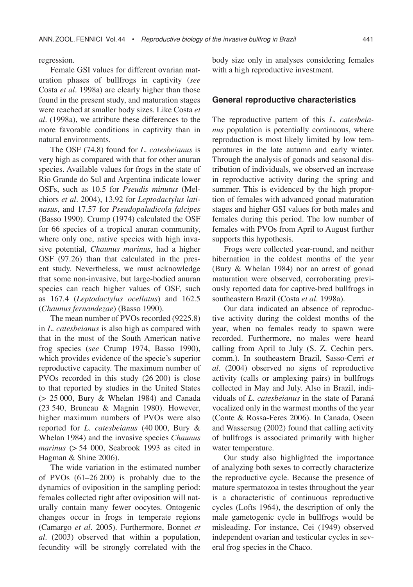regression.

Female GSI values for different ovarian maturation phases of bullfrogs in captivity (*see* Costa *et al.* 1998a) are clearly higher than those found in the present study, and maturation stages were reached at smaller body sizes. Like Costa *et al.* (1998a), we attribute these differences to the more favorable conditions in captivity than in natural environments.

The OSF (74.8) found for *L. catesbeianus* is very high as compared with that for other anuran species. Available values for frogs in the state of Rio Grande do Sul and Argentina indicate lower OSFs, such as 10.5 for *Pseudis minutus* (Melchiors *et al.* 2004), 13.92 for *Leptodactylus latinasus*, and 17.57 for *Pseudopaludicola falcipes* (Basso 1990). Crump (1974) calculated the OSF for 66 species of a tropical anuran community, where only one, native species with high invasive potential, *Chaunus marinus*, had a higher OSF (97.26) than that calculated in the present study. Nevertheless, we must acknowledge that some non-invasive, but large-bodied anuran species can reach higher values of OSF, such as 167.4 (*Leptodactylus ocellatus*) and 162.5 (*Chaunus fernandezae*) (Basso 1990).

The mean number of PVOs recorded (9225.8) in *L. catesbeianus* is also high as compared with that in the most of the South American native frog species (*see* Crump 1974, Basso 1990), which provides evidence of the specie's superior reproductive capacity. The maximum number of PVOs recorded in this study (26 200) is close to that reported by studies in the United States (> 25 000, Bury & Whelan 1984) and Canada (23 540, Bruneau & Magnin 1980). However, higher maximum numbers of PVOs were also reported for *L. catesbeianus* (40 000, Bury & Whelan 1984) and the invasive species *Chaunus marinus* (> 54 000, Seabrook 1993 as cited in Hagman & Shine 2006).

The wide variation in the estimated number of PVOs (61–26 200) is probably due to the dynamics of oviposition in the sampling period: females collected right after oviposition will naturally contain many fewer oocytes. Ontogenic changes occur in frogs in temperate regions (Camargo *et al.* 2005). Furthermore, Bonnet *et al.* (2003) observed that within a population, fecundity will be strongly correlated with the

body size only in analyses considering females with a high reproductive investment.

#### **General reproductive characteristics**

The reproductive pattern of this *L. catesbeianus* population is potentially continuous, where reproduction is most likely limited by low temperatures in the late autumn and early winter. Through the analysis of gonads and seasonal distribution of individuals, we observed an increase in reproductive activity during the spring and summer. This is evidenced by the high proportion of females with advanced gonad maturation stages and higher GSI values for both males and females during this period. The low number of females with PVOs from April to August further supports this hypothesis.

Frogs were collected year-round, and neither hibernation in the coldest months of the year (Bury & Whelan 1984) nor an arrest of gonad maturation were observed, corroborating previously reported data for captive-bred bullfrogs in southeastern Brazil (Costa *et al.* 1998a).

Our data indicated an absence of reproductive activity during the coldest months of the year, when no females ready to spawn were recorded. Furthermore, no males were heard calling from April to July (S. Z. Cechin pers. comm.). In southeastern Brazil, Sasso-Cerri *et al.* (2004) observed no signs of reproductive activity (calls or amplexing pairs) in bullfrogs collected in May and July. Also in Brazil, individuals of *L. catesbeianus* in the state of Paraná vocalized only in the warmest months of the year (Conte & Rossa-Feres 2006). In Canada, Oseen and Wassersug (2002) found that calling activity of bullfrogs is associated primarily with higher water temperature.

Our study also highlighted the importance of analyzing both sexes to correctly characterize the reproductive cycle. Because the presence of mature spermatozoa in testes throughout the year is a characteristic of continuous reproductive cycles (Lofts 1964), the description of only the male gametogenic cycle in bullfrogs would be misleading. For instance, Cei (1949) observed independent ovarian and testicular cycles in several frog species in the Chaco.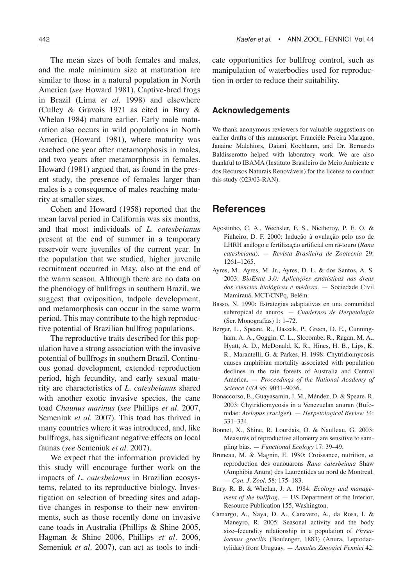The mean sizes of both females and males, and the male minimum size at maturation are similar to those in a natural population in North America (*see* Howard 1981). Captive-bred frogs in Brazil (Lima *et al.* 1998) and elsewhere (Culley & Gravois 1971 as cited in Bury & Whelan 1984) mature earlier. Early male maturation also occurs in wild populations in North America (Howard 1981), where maturity was reached one year after metamorphosis in males, and two years after metamorphosis in females. Howard (1981) argued that, as found in the present study, the presence of females larger than males is a consequence of males reaching maturity at smaller sizes.

Cohen and Howard (1958) reported that the mean larval period in California was six months, and that most individuals of *L. catesbeianus* present at the end of summer in a temporary reservoir were juveniles of the current year. In the population that we studied, higher juvenile recruitment occurred in May, also at the end of the warm season. Although there are no data on the phenology of bullfrogs in southern Brazil, we suggest that oviposition, tadpole development, and metamorphosis can occur in the same warm period. This may contribute to the high reproductive potential of Brazilian bullfrog populations.

The reproductive traits described for this population have a strong association with the invasive potential of bullfrogs in southern Brazil. Continuous gonad development, extended reproduction period, high fecundity, and early sexual maturity are characteristics of *L. catesbeianus* shared with another exotic invasive species, the cane toad *Chaunus marinus* (*see* Phillips *et al.* 2007, Semeniuk *et al.* 2007). This toad has thrived in many countries where it was introduced, and, like bullfrogs, has significant negative effects on local faunas (*see* Semeniuk *et al.* 2007).

We expect that the information provided by this study will encourage further work on the impacts of *L. catesbeianus* in Brazilian ecosystems, related to its reproductive biology. Investigation on selection of breeding sites and adaptive changes in response to their new environments, such as those recently done on invasive cane toads in Australia (Phillips & Shine 2005, Hagman & Shine 2006, Phillips *et al.* 2006, Semeniuk *et al.* 2007), can act as tools to indicate opportunities for bullfrog control, such as manipulation of waterbodies used for reproduction in order to reduce their suitability.

### **Acknowledgements**

We thank anonymous reviewers for valuable suggestions on earlier drafts of this manuscript. Franciéle Pereira Maragno, Janaine Malchiors, Daiani Kochhann, and Dr. Bernardo Baldisserotto helped with laboratory work. We are also thankful to IBAMA (Instituto Brasileiro do Meio Ambiente e dos Recursos Naturais Renováveis) for the license to conduct this study (023/03-RAN).

### **References**

- Agostinho, C. A., Wechsler, F. S., Nictheroy, P. E. O. & Pinheiro, D. F. 2000: Indução à ovulação pelo uso de LHRH análogo e fertilização artificial em rã-touro (*Rana catesbeiana*). — *Revista Brasileira de Zootecnia* 29: 1261–1265.
- Ayres, M., Ayres, M. Jr., Ayres, D. L. & dos Santos, A. S. 2003: *BioEstat 3.0: Aplicações estatísticas nas áreas das ciências biológicas e médicas*. — Sociedade Civil Mamirauá, MCT/CNPq, Belém.
- Basso, N. 1990: Estrategias adaptativas en una comunidad subtropical de anuros. — *Cuadernos de Herpetología* (Ser. Monografías) 1: 1–72.
- Berger, L., Speare, R., Daszak, P., Green, D. E., Cunningham, A. A., Goggin, C. L., Slocombe, R., Ragan, M. A., Hyatt, A. D., McDonald, K. R., Hines, H. B., Lips, K. R., Marantelli, G. & Parkes, H. 1998: Chytridiomycosis causes amphibian mortality associated with population declines in the rain forests of Australia and Central America. — *Proceedings of the National Academy of Science USA* 95: 9031–9036.
- Bonaccorso, E., Guayasamin, J. M., Méndez, D. & Speare, R. 2003: Chytridiomycosis in a Venezuelan anuran (Bufonidae: *Atelopus cruciger*). — *Herpetological Review* 34: 331–334.
- Bonnet, X., Shine, R. Lourdais, O. & Naulleau, G. 2003: Measures of reproductive allometry are sensitive to sampling bias. — *Functional Ecology* 17: 39–49.
- Bruneau, M. & Magnin, E. 1980: Croissance, nutrition, et reproduction des ouaouarons *Rana catesbeiana* Shaw (Amphibia Anura) des Laurentides au nord de Montreal. — *Can. J. Zool*. 58: 175–183.
- Bury, R. B. & Whelan, J. A. 1984: *Ecology and management of the bullfrog*. — US Department of the Interior, Resource Publication 155, Washington.
- Camargo, A., Naya, D. A., Canavero, A., da Rosa, I. & Maneyro, R. 2005: Seasonal activity and the body size–fecundity relationship in a population of *Physalaemus gracilis* (Boulenger, 1883) (Anura, Leptodactylidae) from Uruguay. — *Annales Zooogici Fennici* 42: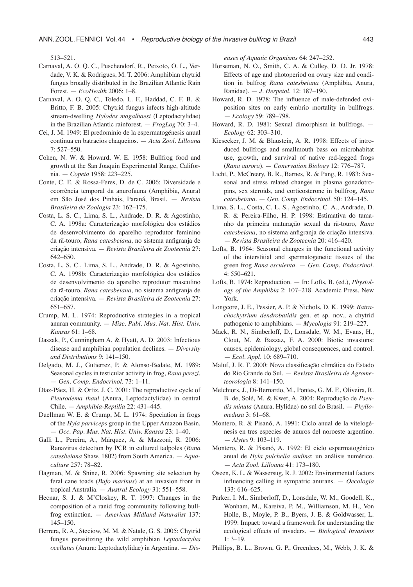513–521.

- Carnaval, A. O. Q. C., Puschendorf, R., Peixoto, O. L., Verdade, V. K. & Rodrigues, M. T. 2006: Amphibian chytrid fungus broadly distributed in the Brazilian Atlantic Rain Forest. — *EcoHealth* 2006: 1–8.
- Carnaval, A. O. Q. C., Toledo, L. F., Haddad, C. F. B. & Britto, F. B. 2005: Chytrid fungus infects high-altitude stream-dwelling *Hylodes magalhaesi* (Leptodactylidae) in the Brazilian Atlantic rainforest. — *FrogLog* 70: 3–4.
- Cei, J. M. 1949: El predominio de la espermatogénesis anual continua en batracios chaqueños. — *Acta Zool. Lilloana* 7: 527–550.
- Cohen, N. W. & Howard, W. E. 1958: Bullfrog food and growth at the San Joaquin Experimental Range, California. — *Copeia* 1958: 223–225.
- Conte, C. E. & Rossa-Feres, D. de C. 2006: Diversidade e ocorrência temporal da anurofauna (Amphibia, Anura) em São José dos Pinhais, Paraná, Brasil. — *Revista Brasileira de Zoologia* 23: 162–175.
- Costa, L. S. C., Lima, S. L., Andrade, D. R. & Agostinho, C. A. 1998a: Caracterização morfológica dos estádios de desenvolvimento do aparelho reprodutor feminino da rã-touro, *Rana catesbeiana*, no sistema anfigranja de criação intensiva. — *Revista Brasileira de Zootecnia* 27: 642–650.
- Costa, L. S. C., Lima, S. L., Andrade, D. R. & Agostinho, C. A. 1998b: Caracterização morfológica dos estádios de desenvolvimento do aparelho reprodutor masculino da rã-touro, *Rana catesbeiana*, no sistema anfigranja de criação intensiva. — *Revista Brasileira de Zootecnia* 27: 651–657.
- Crump, M. L. 1974: Reproductive strategies in a tropical anuran community. — *Misc. Publ. Mus. Nat. Hist. Univ. Kansas* 61: 1–68.
- Daszak, P., Cunningham A. & Hyatt, A. D. 2003: Infectious disease and amphibian population declines. — *Diversity and Distributions* 9: 141–150.
- Delgado, M. J., Gutierrez, P. & Alonso-Bedate, M. 1989: Seasonal cycles in testicular activity in frog, *Rana perezi.* — *Gen. Comp. Endocrinol.* 73: 1–11.
- Díaz-Páez, H. & Ortiz, J. C. 2001: The reproductive cycle of *Pleurodema thaul* (Anura, Leptodactylidae) in central Chile. — *Amphibia-Reptilia* 22: 431–445.
- Duellman W. E. & Crump, M. L. 1974: Speciation in frogs of the *Hyla parviceps* group in the Upper Amazon Basin. — *Occ. Pap. Mus. Nat. Hist. Univ. Kansas* 23: 1–40.
- Galli L., Pereira, A., Márquez, A. & Mazzoni, R. 2006: Ranavirus detection by PCR in cultured tadpoles (*Rana catesbeiana* Shaw, 1802) from South America. — *Aquaculture* 257: 78–82.
- Hagman, M. & Shine, R. 2006: Spawning site selection by feral cane toads (*Bufo marinus*) at an invasion front in tropical Australia. — *Austral Ecology* 31: 551–558.
- Hecnar, S. J. & M'Closkey, R. T. 1997: Changes in the composition of a ranid frog community following bullfrog extinction. — *American Midland Naturalist* 137: 145–150.
- Herrera, R. A., Steciow, M. M. & Natale, G. S. 2005: Chytrid fungus parasitizing the wild amphibian *Leptodactylus ocellatus* (Anura: Leptodactylidae) in Argentina. — *Dis-*

*eases of Aquatic Organisms* 64: 247–252.

- Horseman, N. O., Smith, C. A. & Culley, D. D. Jr. 1978: Effects of age and photoperiod on ovary size and condition in bulfrog *Rana catesbeiana* (Amphibia, Anura, Ranidae). — *J. Herpetol.* 12: 187–190.
- Howard, R. D. 1978: The influence of male-defended oviposition sites on early embrio mortality in bullfrogs. — *Ecology* 59: 789–798.
- Howard, R. D. 1981: Sexual dimorphism in bullfrogs. *Ecology* 62: 303–310.
- Kiesecker, J. M. & Blaustein, A. R. 1998: Effects of introduced bullfrogs and smallmouth bass on microhabitat use, growth, and survival of native red-legged frogs (*Rana aurora*). — *Conervation Biology* 12: 776–787.
- Licht, P., McCreery, B. R., Barnes, R. & Pang, R. 1983: Seasonal and stress related changes in plasma gonadotropins, sex steroids, and corticosterone in bullfrog, *Rana catesbeiana*. — *Gen. Comp. Endocrinol.* 50: 124–145.
- Lima, S. L., Costa, C. L. S., Agostinho, C. A., Andrade, D. R. & Pereira-Filho, H. P. 1998: Estimativa do tamanho da primeira maturação sexual da rã-touro, *Rana catesbeiana*, no sistema anfigranja de criação intensiva. — *Revista Brasileira de Zootecnia* 20: 416–420.
- Lofts, B. 1964: Seasonal changes in the functional activity of the interstitial and spermatogenetic tissues of the green frog *Rana esculenta*. — *Gen. Comp. Endocrinol.*  $4:550-621$ .
- Lofts, B. 1974: Reproduction. In: Lofts, B. (ed.), *Physiology of the Amphibia* 2: 107–218. Academic Press. New York.
- Longcore, J. E., Pessier, A. P. & Nichols, D. K. 1999: *Batrachochytrium dendrobatidis* gen. et sp. nov., a chytrid pathogenic to amphibians. — *Mycologia* 91: 219–227.
- Mack, R. N., Simberloff, D., Lonsdale, W. M., Evans, H., Clout, M. & Bazzaz, F. A. 2000: Biotic invasions: causes, epidemiology, global consequences, and control. — *Ecol. Appl.* 10: 689–710.
- Maluf, J. R. T. 2000: Nova classificação climática do Estado do Rio Grande do Sul. — *Revista Brasileira de Agrometeorologia* 8: 141–150.
- Melchiors, J., Di-Bernardo, M., Pontes, G. M. F., Oliveira, R. B. de, Solé, M. & Kwet, A. 2004: Reprodução de *Pseudis minuta* (Anura, Hylidae) no sul do Brasil. — *Phyllomedusa* 3: 61–68.
- Montero, R. & Pisanó, A. 1991: Ciclo anual de la vitelogénesis en tres especies de anuros del noroeste argentino. — *Alytes* 9: 103–119.
- Montero, R. & Pisanó, A. 1992: El ciclo espermatogénico anual de *Hyla pulchella andina*: un análisis numérico. — *Acta Zool. Lilloana* 41: 173–180.
- Oseen, K. L. & Wassersug, R. J. 2002: Environmental factors influencing calling in sympatric anurans. — *Oecologia* 133: 616–625.
- Parker, I. M., Simberloff, D., Lonsdale, W. M., Goodell, K., Wonham, M., Kareiva, P. M., Williamson, M. H., Von Holle, B., Moyle, P. B., Byers, J. E. & Goldwasser, L. 1999: Impact: toward a framework for understanding the ecological effects of invaders. — *Biological Invasions* 1: 3–19.
- Phillips, B. L., Brown, G. P., Greenlees, M., Webb, J. K. &